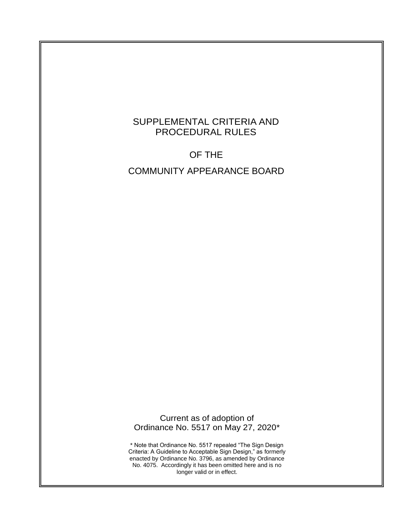# SUPPLEMENTAL CRITERIA AND PROCEDURAL RULES

# OF THE

# COMMUNITY APPEARANCE BOARD

Current as of adoption of Ordinance No. 5517 on May 27, 2020\*

\* Note that Ordinance No. 5517 repealed "The Sign Design Criteria: A Guideline to Acceptable Sign Design," as formerly enacted by Ordinance No. 3796, as amended by Ordinance No. 4075. Accordingly it has been omitted here and is no longer valid or in effect.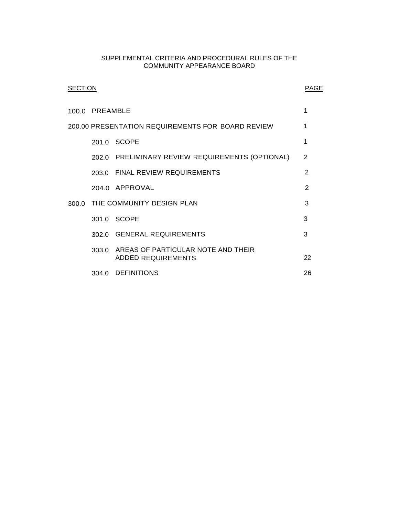#### SUPPLEMENTAL CRITERIA AND PROCEDURAL RULES OF THE COMMUNITY APPEARANCE BOARD

| SECTION                                           |                                 |                                                                       | <b>PAGE</b>    |  |  |
|---------------------------------------------------|---------------------------------|-----------------------------------------------------------------------|----------------|--|--|
|                                                   | 100.0 PREAMBLE                  |                                                                       |                |  |  |
| 200.00 PRESENTATION REQUIREMENTS FOR BOARD REVIEW |                                 |                                                                       |                |  |  |
|                                                   |                                 | 201.0 SCOPE                                                           | 1              |  |  |
|                                                   |                                 | 202.0 PRELIMINARY REVIEW REQUIREMENTS (OPTIONAL)                      | 2              |  |  |
|                                                   |                                 | 203.0 FINAL REVIEW REQUIREMENTS                                       | $\overline{2}$ |  |  |
|                                                   |                                 | 204.0 APPROVAL                                                        | $\overline{2}$ |  |  |
|                                                   | 300.0 THE COMMUNITY DESIGN PLAN |                                                                       |                |  |  |
|                                                   |                                 | 301.0 SCOPE                                                           | 3              |  |  |
|                                                   |                                 | 302.0 GENERAL REQUIREMENTS                                            | 3              |  |  |
|                                                   |                                 | 303.0 AREAS OF PARTICULAR NOTE AND THEIR<br><b>ADDED REQUIREMENTS</b> | 22             |  |  |
|                                                   |                                 | 304.0 DEFINITIONS                                                     | 26             |  |  |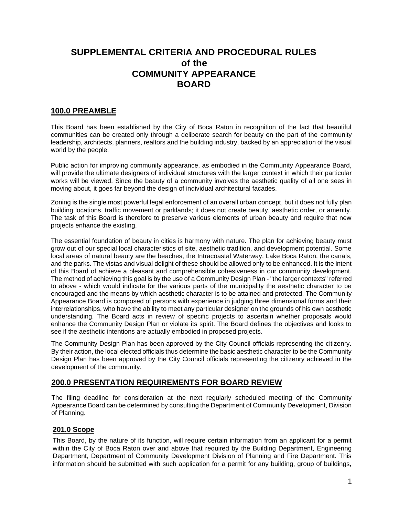# **SUPPLEMENTAL CRITERIA AND PROCEDURAL RULES of the COMMUNITY APPEARANCE BOARD**

## <span id="page-2-0"></span>**100.0 PREAMBLE**

This Board has been established by the City of Boca Raton in recognition of the fact that beautiful communities can be created only through a deliberate search for beauty on the part of the community leadership, architects, planners, realtors and the building industry, backed by an appreciation of the visual world by the people.

Public action for improving community appearance, as embodied in the Community Appearance Board, will provide the ultimate designers of individual structures with the larger context in which their particular works will be viewed. Since the beauty of a community involves the aesthetic quality of all one sees in moving about, it goes far beyond the design of individual architectural facades.

Zoning is the single most powerful legal enforcement of an overall urban concept, but it does not fully plan building locations, traffic movement or parklands; it does not create beauty, aesthetic order, or amenity. The task of this Board is therefore to preserve various elements of urban beauty and require that new projects enhance the existing.

The essential foundation of beauty in cities is harmony with nature. The plan for achieving beauty must grow out of our special local characteristics of site, aesthetic tradition, and development potential. Some local areas of natural beauty are the beaches, the Intracoastal Waterway, Lake Boca Raton, the canals, and the parks. The vistas and visual delight of these should be allowed only to be enhanced. It is the intent of this Board of achieve a pleasant and comprehensible cohesiveness in our community development. The method of achieving this goal is by the use of a Community Design Plan - "the larger contexts" referred to above - which would indicate for the various parts of the municipality the aesthetic character to be encouraged and the means by which aesthetic character is to be attained and protected. The Community Appearance Board is composed of persons with experience in judging three dimensional forms and their interrelationships, who have the ability to meet any particular designer on the grounds of his own aesthetic understanding. The Board acts in review of specific projects to ascertain whether proposals would enhance the Community Design Plan or violate its spirit. The Board defines the objectives and looks to see if the aesthetic intentions are actually embodied in proposed projects.

The Community Design Plan has been approved by the City Council officials representing the citizenry. By their action, the local elected officials thus determine the basic aesthetic character to be the Community Design Plan has been approved by the City Council officials representing the citizenry achieved in the development of the community.

## **200.0 PRESENTATION REQUIREMENTS FOR BOARD REVIEW**

The filing deadline for consideration at the next regularly scheduled meeting of the Community Appearance Board can be determined by consulting the Department of Community Development, Division of Planning.

## <span id="page-2-1"></span>**201.0 Scope**

This Board, by the nature of its function, will require certain information from an applicant for a permit within the City of Boca Raton over and above that required by the Building Department, Engineering Department, Department of Community Development Division of Planning and Fire Department. This information should be submitted with such application for a permit for any building, group of buildings,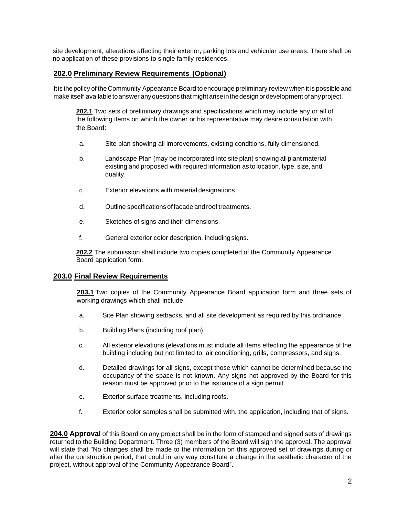site development, alterations affecting their exterior, parking lots and vehicular use areas. There shall be no application of these provisions to single family residences.

## <span id="page-3-0"></span>**202.0 Preliminary Review Requirements (Optional)**

Itis the policy of the Community Appearance Board toencourage preliminary review when it is possible and make itself available to answer any questions that might arise in the design or development of any project.

**202.1** Two sets of preliminary drawings and specifications which may include any or all of the following items on which the owner or his representative may desire consultation with the Board:

- a. Site plan showing all improvements, existing conditions, fully dimensioned.
- b. Landscape Plan (may be incorporated into site plan) showing all plant material existing and proposed with required information as to location, type, size, and quality.
- c. Exterior elevations with material designations.
- d. Outline specifications of facade androof treatments.
- e. Sketches of signs and their dimensions.
- f. General exterior color description, includingsigns.

**202.2** The submission shall include two copies completed of the Community Appearance Board application form.

## <span id="page-3-1"></span>**203.0 Final Review Requirements**

**203.1** Two copies of the Community Appearance Board application form and three sets of working drawings which shall include:

- a. Site Plan showing setbacks, and all site development as required by this ordinance.
- b. Building Plans (including roof plan).
- c. All exterior elevations (elevations must include all items effecting the appearance of the building including but not limited to, air conditioning, grills, compressors, and signs.
- d. Detailed drawings for all signs, except those which cannot be determined because the occupancy of the space is not known. Any signs not approved by the Board for this reason must be approved prior to the issuance of a sign permit.
- e. Exterior surface treatments, including roofs.
- f. Exterior color samples shall be submitted with. the application, including that of signs.

**204.0 Approval** of this Board on any project shall be in the form of stamped and signed sets of drawings returned to the Building Department. Three (3) members of the Board will sign the approval. The approval will state that "No changes shall be made to the information on this approved set of drawings during or after the construction period, that could in any way constitute a change in the aesthetic character of the project, without approval of the Community Appearance Board".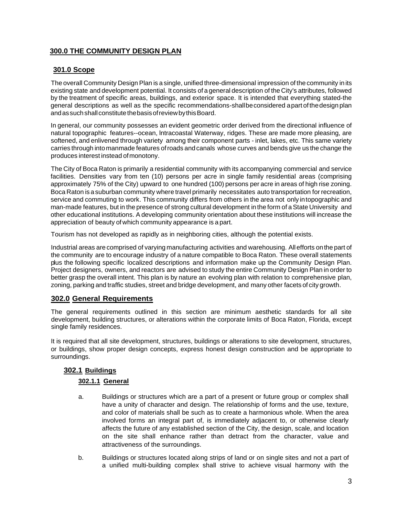## <span id="page-4-0"></span>**300.0 THE COMMUNITY DESIGN PLAN**

## <span id="page-4-1"></span>**301.0 Scope**

The overall Community Design Plan is a single, unified three-dimensional impression of the community in its existing state and development potential. It consists of a general description of the City's attributes, followed by the treatment of specific areas, buildings, and exterior space. It is intended that everything stated-the general descriptions as well as the specific recommendations-shallbeconsidered apartof thedesign plan and as such shall constitute the basis of review by this Board.

In general, our community possesses an evident geometric order derived from the directional influence of natural topographic features--ocean, lntracoastal Waterway, ridges. These are made more pleasing, are softened, and enlivened through variety among their component parts - inlet, lakes, etc. This same variety carries through into manmade features ofroads andcanals whose curves and bends give us the change the produces interest instead ofmonotony.

The City of Boca Raton is primarily a residential community with its accompanying commercial and service facilities. Densities vary from ten (10) persons per acre in single family residential areas (comprising approximately 75% of the City) upward to one hundred (100) persons per acre in areas of high rise zoning. Boca Raton is asuburban community where travel primarily necessitates auto transportation for recreation, service and commuting to work. This community differs from others in the area not only intopographic and man-made features, but in the presence of strong cultural development in the form of a State University and other educational institutions. A developing community orientation about these institutions will increase the appreciation of beauty ofwhich community appearance is a part.

Tourism has not developed as rapidly as in neighboring cities, although the potential exists.

Industrial areas are comprised of varying manufacturing activities and warehousing. All efforts onthe part of the community are to encourage industry of a nature compatible to Boca Raton. These overall statements plus the following specific localized descriptions and information make up the Community Design Plan. Project designers, owners, and reactors are advised to study the entire Community Design Plan in order to better grasp the overall intent. This plan is by nature an evolving plan with relation to comprehensive plan, zoning, parking and traffic studies, street and bridge development, and many other facets of city growth.

## <span id="page-4-2"></span>**302.0 General Requirements**

The general requirements outlined in this section are minimum aesthetic standards for all site development, building structures, or alterations within the corporate limits of Boca Raton, Florida, except single family residences.

It is required that all site development, structures, buildings or alterations to site development, structures, or buildings, show proper design concepts, express honest design construction and be appropriate to surroundings.

## **302.1 Buildings**

## **302.1.1 General**

- a. Buildings or structures which are a part of a present or future group or complex shall have a unity of character and design. The relationship of forms and the use, texture, and color of materials shall be such as to create a harmonious whole. When the area involved forms an integral part of, is immediately adjacent to, or otherwise clearly affects the future of any established section of the City, the design, scale, and location on the site shall enhance rather than detract from the character, value and attractiveness of the surroundings.
- b. Buildings or structures located along strips of land or on single sites and not a part of a unified multi-building complex shall strive to achieve visual harmony with the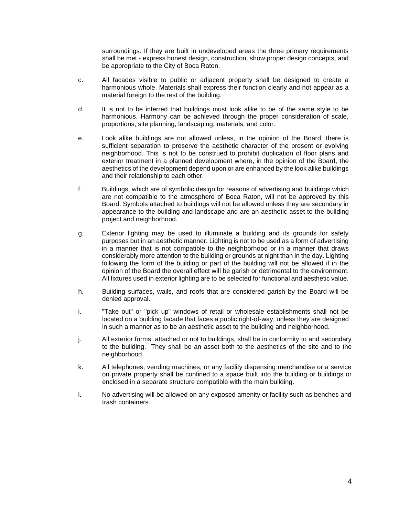surroundings. If they are built in undeveloped areas the three primary requirements shall be met - express honest design, construction, show proper design concepts, and be appropriate to the City of Boca Raton.

- c. All facades visible to public or adjacent property shall be designed to create a harmonious whole. Materials shall express their function clearly and not appear as a material foreign to the rest of the building.
- d. It is not to be inferred that buildings must look alike to be of the same style to be harmonious. Harmony can be achieved through the proper consideration of scale, proportions, site planning, landscaping, materials, and color.
- e. Look alike buildings are not allowed unless, in the opinion of the Board, there is sufficient separation to preserve the aesthetic character of the present or evolving neighborhood. This is not to be construed to prohibit duplication of floor plans and exterior treatment in a planned development where, in the opinion of the Board, the aesthetics of the development depend upon or are enhanced by the look alike buildings and their relationship to each other.
- f. Buildings, which are of symbolic design for reasons of advertising and buildings which are not compatible to the atmosphere of Boca Raton, will not be approved by this Board. Symbols attached to buildings will not be allowed unless they are secondary in appearance to the building and landscape and are an aesthetic asset to the building project and neighborhood.
- g. Exterior lighting may be used to illuminate a building and its grounds for safety purposes but in an aesthetic manner. Lighting is not to be used as a form of advertising in a manner that is not compatible to the neighborhood or in a manner that draws considerably more attention to the building or grounds at night than in the day. Lighting following the form of the building or part of the building will not be allowed if in the opinion of the Board the overall effect will be garish or detrimental to the environment. All fixtures used in exterior lighting are to be selected for functional and aesthetic value.
- h. Building surfaces, wails, and roofs that are considered garish by the Board will be denied approval.
- i. "Take out" or "pick up" windows of retail or wholesale establishments shall not be located on a building facade that faces a public right-of-way, unless they are designed in such a manner as to be an aesthetic asset to the building and neighborhood.
- j. All exterior forms, attached or not to buildings, shall be in conformity to and secondary to the building. They shall be an asset both to the aesthetics of the site and to the neighborhood.
- k. All telephones, vending machines, or any facility dispensing merchandise or a service on private property shall be confined to a space built into the building or buildings or enclosed in a separate structure compatible with the main building.
- l. No advertising will be allowed on any exposed amenity or facility such as benches and trash containers.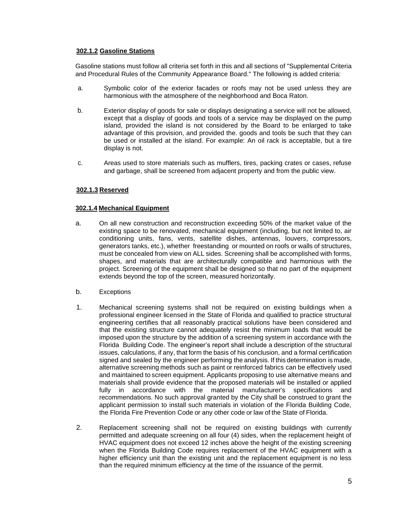### **302.1.2 Gasoline Stations**

Gasoline stations must follow all criteria set forth in this and all sections of "Supplemental Criteria and Procedural Rules of the Community Appearance Board." The following is added criteria:

- a. Symbolic color of the exterior facades or roofs may not be used unless they are harmonious with the atmosphere of the neighborhood and Boca Raton.
- b. Exterior display of goods for sale or displays designating a service will not be allowed, except that a display of goods and tools of a service may be displayed on the pump island, provided the island is not considered by the Board to be enlarged to take advantage of this provision, and provided the. goods and tools be such that they can be used or installed at the island. For example: An oil rack is acceptable, but a tire display is not.
- c. Areas used to store materials such as mufflers, tires, packing crates or cases, refuse and garbage, shall be screened from adjacent property and from the public view.

## **302.1.3 Reserved**

## **302.1.4 Mechanical Equipment**

- a. On all new construction and reconstruction exceeding 50% of the market value of the existing space to be renovated, mechanical equipment (including, but not limited to, air conditioning units, fans, vents, satellite dishes, antennas, louvers, compressors, generators tanks, etc.), whether freestanding or mounted on roofs or walls of structures, must be concealed from view on ALL sides. Screening shall be accomplished with forms, shapes, and materials that are architecturally compatible and harmonious with the project. Screening of the equipment shall be designed so that no part of the equipment extends beyond the top of the screen, measured horizontally.
- b. Exceptions
- 1. Mechanical screening systems shall not be required on existing buildings when a professional engineer licensed in the State of Florida and qualified to practice structural engineering certifies that all reasonably practical solutions have been considered and that the existing structure cannot adequately resist the minimum loads that would be imposed upon the structure by the addition of a screening system in accordance with the Florida Building Code. The engineer's report shall include a description of the structural issues, calculations, if any, that form the basis of his conclusion, and a formal certification signed and sealed by the engineer performing the analysis. If this determination is made, alternative screening methods such as paint or reinforced fabrics can be effectively used and maintained to screen equipment. Applicants proposing to use alternative means and materials shall provide evidence that the proposed materials will be installed or applied fully in accordance with the material manufacturer's specifications and recommendations. No such approval granted by the City shall be construed to grant the applicant permission to install such materials in violation of the Florida Building Code, the Florida Fire Prevention Code or any other code or law of the State of Florida.
- 2. Replacement screening shall not be required on existing buildings with currently permitted and adequate screening on all four (4) sides, when the replacement height of HVAC equipment does not exceed 12 inches above the height of the existing screening when the Florida Building Code requires replacement of the HVAC equipment with a higher efficiency unit than the existing unit and the replacement equipment is no less than the required minimum efficiency at the time of the issuance of the permit.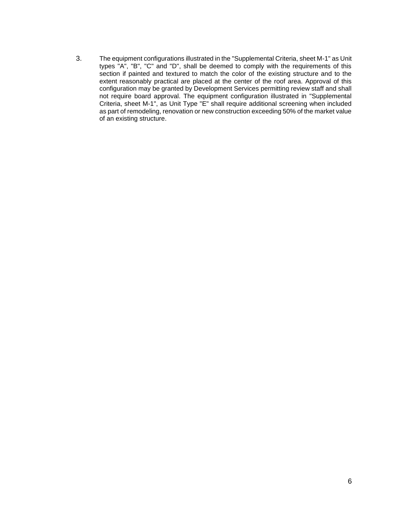3. The equipment configurations illustrated in the "Supplemental Criteria, sheet M-1" as Unit types "A", "B", "C" and "D", shall be deemed to comply with the requirements of this section if painted and textured to match the color of the existing structure and to the extent reasonably practical are placed at the center of the roof area. Approval of this configuration may be granted by Development Services permitting review staff and shall not require board approval. The equipment configuration illustrated in "Supplemental Criteria, sheet M-1", as Unit Type "E" shall require additional screening when included as part of remodeling, renovation or new construction exceeding 50% of the market value of an existing structure.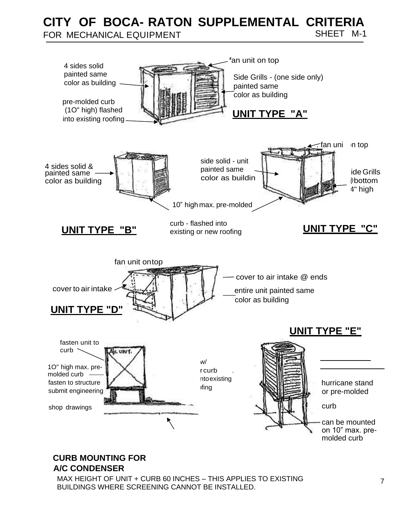**CITY OF BOCA- RATON SUPPLEMENTAL CRITERIA**  FOR MECHANICAL EQUIPMENT SHEET M-1



# **CURB MOUNTING FOR A/C CONDENSER**

MAX HEIGHT OF UNIT + CURB 60 INCHES – THIS APPLIES TO EXISTING BUILDINGS WHERE SCREENING CANNOT BE INSTALLED.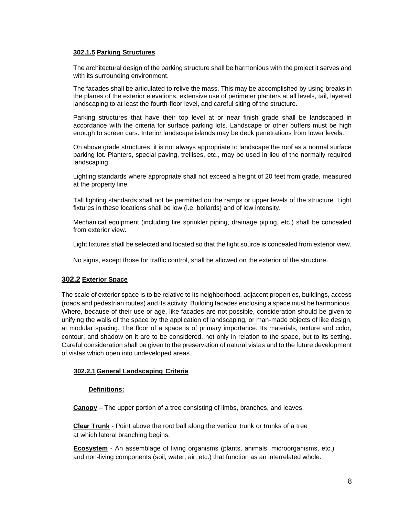### **302.1.5 Parking Structures**

The architectural design of the parking structure shall be harmonious with the project it serves and with its surrounding environment.

The facades shall be articulated to relive the mass. This may be accomplished by using breaks in the planes of the exterior elevations, extensive use of perimeter planters at all levels, tail, layered landscaping to at least the fourth-floor level, and careful siting of the structure.

Parking structures that have their top level at or near finish grade shall be landscaped in accordance with the criteria for surface parking lots. Landscape or other buffers must be high enough to screen cars. Interior landscape islands may be deck penetrations from lower levels.

On above grade structures, it is not always appropriate to landscape the roof as a normal surface parking lot. Planters, special paving, trellises, etc., may be used in lieu of the normally required landscaping.

Lighting standards where appropriate shall not exceed a height of 20 feet from grade, measured at the property line.

Tall lighting standards shall not be permitted on the ramps or upper levels of the structure. Light fixtures in these locations shall be low (i.e. bollards) and of low intensity.

Mechanical equipment (including fire sprinkler piping, drainage piping, etc.) shall be concealed from exterior view.

Light fixtures shall be selected and located so that the light source is concealed from exterior view.

No signs, except those for traffic control, shall be allowed on the exterior of the structure.

## **302.2 Exterior Space**

The scale of exterior space is to be relative to its neighborhood, adjacent properties, buildings, access (roads and pedestrian routes) and its activity. Building facades enclosing a space must be harmonious. Where, because of their use or age, like facades are not possible, consideration should be given to unifying the walls of the space by the application of landscaping, or man-made objects of like design, at modular spacing. The floor of a space is of primary importance. Its materials, texture and color, contour, and shadow on it are to be considered, not only in relation to the space, but to its setting. Careful consideration shall be given to the preservation of natural vistas and to the future development of vistas which open into undeveloped areas.

## **302.2.1 General Landscaping Criteria**

### **Definitions:**

**Canopy** – The upper portion of a tree consisting of limbs, branches, and leaves.

**Clear Trunk** - Point above the root ball along the vertical trunk or trunks of a tree at which lateral branching begins.

**Ecosystem** - An assemblage of living organisms (plants, animals, microorganisms, etc.) and non-living components (soil, water, air, etc.) that function as an interrelated whole.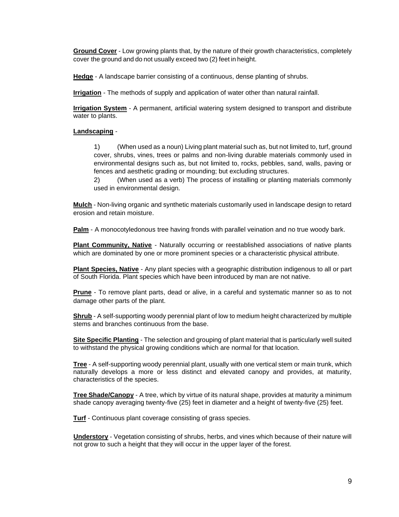**Ground Cover** - Low growing plants that, by the nature of their growth characteristics, completely cover the ground and do not usually exceed two (2) feet in height.

**Hedge** - A landscape barrier consisting of a continuous, dense planting of shrubs.

**Irrigation** - The methods of supply and application of water other than natural rainfall.

**Irrigation System** - A permanent, artificial watering system designed to transport and distribute water to plants.

## **Landscaping** -

1) (When used as a noun) Living plant material such as, but not limited to, turf, ground cover, shrubs, vines, trees or palms and non-living durable materials commonly used in environmental designs such as, but not limited to, rocks, pebbles, sand, walls, paving or fences and aesthetic grading or mounding; but excluding structures.

2) (When used as a verb) The process of installing or planting materials commonly used in environmental design.

**Mulch** - Non-living organic and synthetic materials customarily used in landscape design to retard erosion and retain moisture.

**Palm** - A monocotyledonous tree having fronds with parallel veination and no true woody bark.

**Plant Community, Native** - Naturally occurring or reestablished associations of native plants which are dominated by one or more prominent species or a characteristic physical attribute.

**Plant Species, Native** - Any plant species with a geographic distribution indigenous to all or part of South Florida. Plant species which have been introduced by man are not native.

**Prune** - To remove plant parts, dead or alive, in a careful and systematic manner so as to not damage other parts of the plant.

**Shrub** - A self-supporting woody perennial plant of low to medium height characterized by multiple stems and branches continuous from the base.

**Site Specific Planting** - The selection and grouping of plant material that is particularly well suited to withstand the physical growing conditions which are normal for that location.

**Tree** - A self-supporting woody perennial plant, usually with one vertical stem or main trunk, which naturally develops a more or less distinct and elevated canopy and provides, at maturity, characteristics of the species.

**Tree Shade/Canopy** - A tree, which by virtue of its natural shape, provides at maturity a minimum shade canopy averaging twenty-five (25) feet in diameter and a height of twenty-five (25) feet.

**Turf** - Continuous plant coverage consisting of grass species.

**Understory** - Vegetation consisting of shrubs, herbs, and vines which because of their nature will not grow to such a height that they will occur in the upper layer of the forest.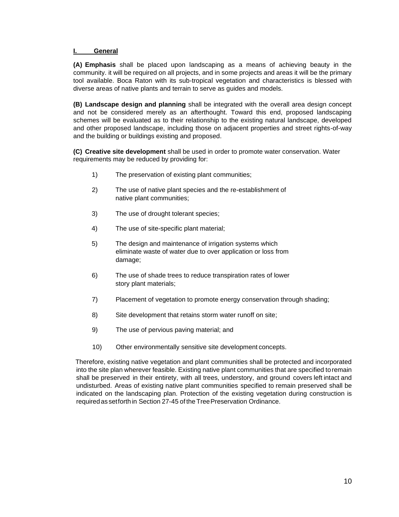### **I. General**

**(A) Emphasis** shall be placed upon landscaping as a means of achieving beauty in the community. it will be required on all projects, and in some projects and areas it will be the primary tool available. Boca Raton with its sub-tropical vegetation and characteristics is blessed with diverse areas of native plants and terrain to serve as guides and models.

**(B) Landscape design and planning** shall be integrated with the overall area design concept and not be considered merely as an afterthought. Toward this end, proposed landscaping schemes will be evaluated as to their relationship to the existing natural landscape, developed and other proposed landscape, including those on adjacent properties and street rights-of-way and the building or buildings existing and proposed.

**(C) Creative site development** shall be used in order to promote water conservation. Water requirements may be reduced by providing for:

- 1) The preservation of existing plant communities;
- 2) The use of native plant species and the re-establishment of native plant communities;
- 3) The use of drought tolerant species;
- 4) The use of site-specific plant material;
- 5) The design and maintenance of irrigation systems which eliminate waste of water due to over application or loss from damage;
- 6) The use of shade trees to reduce transpiration rates of lower story plant materials;
- 7) Placement of vegetation to promote energy conservation through shading;
- 8) Site development that retains storm water runoff on site;
- 9) The use of pervious paving material; and
- 10) Other environmentally sensitive site development concepts.

Therefore, existing native vegetation and plant communities shall be protected and incorporated into the site plan wherever feasible. Existing native plant communities that are specified to remain shall be preserved in their entirety, with all trees, understory, and ground covers left intact and undisturbed. Areas of existing native plant communities specified to remain preserved shall be indicated on the landscaping plan. Protection of the existing vegetation during construction is required as set forth in Section 27-45 of the Tree Preservation Ordinance.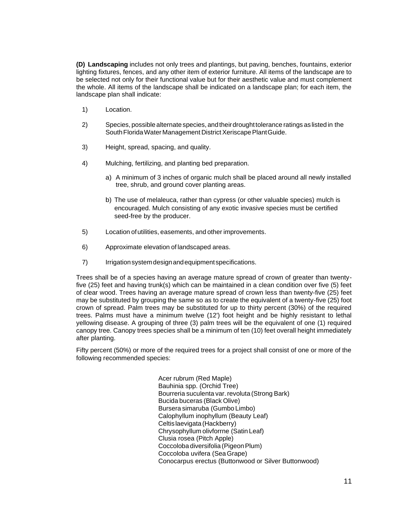**(D) Landscaping** includes not only trees and plantings, but paving, benches, fountains, exterior lighting fixtures, fences, and any other item of exterior furniture. All items of the landscape are to be selected not only for their functional value but for their aesthetic value and must complement the whole. All items of the landscape shall be indicated on a landscape plan; for each item, the landscape plan shall indicate:

- 1) Location.
- 2) Species, possible alternate species, and their drought tolerance ratings as listed in the South Florida Water Management District Xeriscape Plant Guide.
- 3) Height, spread, spacing, and quality.
- 4) Mulching, fertilizing, and planting bed preparation.
	- a) A minimum of 3 inches of organic mulch shall be placed around all newly installed tree, shrub, and ground cover planting areas.
	- b) The use of melaleuca, rather than cypress (or other valuable species) mulch is encouraged. Mulch consisting of any exotic invasive species must be certified seed-free by the producer.
- 5) Location of utilities, easements, and other improvements.
- 6) Approximate elevation of landscaped areas.
- 7) Irrigation system design and equipment specifications.

Trees shall be of a species having an average mature spread of crown of greater than twentyfive (25) feet and having trunk(s) which can be maintained in a clean condition over five (5) feet of clear wood. Trees having an average mature spread of crown less than twenty-five (25) feet may be substituted by grouping the same so as to create the equivalent of a twenty-five (25) foot crown of spread. Palm trees may be substituted for up to thirty percent (30%) of the required trees. Palms must have a minimum twelve (12') foot height and be highly resistant to lethal yellowing disease. A grouping of three (3) palm trees will be the equivalent of one (1) required canopy tree. Canopy trees species shall be a minimum of ten (10) feet overall height immediately after planting.

Fifty percent (50%) or more of the required trees for a project shall consist of one or more of the following recommended species:

> Acer rubrum (Red Maple) Bauhinia spp. (Orchid Tree) Bourreria suculenta var. revoluta (Strong Bark) Bucida buceras (Black Olive) Bursera simaruba (Gumbo Limbo) Calophyllum inophyllum (Beauty Leaf) Celtis laevigata (Hackberry) Chrysophyllum olivforrne (Satin Leaf) Clusia rosea (Pitch Apple) Coccoloba diversifolia (Pigeon Plum) Coccoloba uvifera (Sea Grape) Conocarpus erectus (Buttonwood or Silver Buttonwood)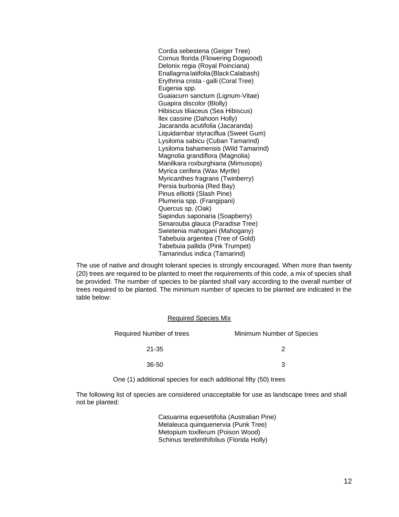Cordia sebestena (Geiger Tree) Cornus florida (Flowering Dogwood) Delonix regia (Royal Poinciana) Enallagrna latifolia (Black Calabash) Erythrina crista - galli (Coral Tree) Eugenia spp. Guaiacurn sanctum (Lignum-Vitae) Guapira discolor (Blolly) Hibiscus tiliaceus (Sea Hibiscus) llex cassine (Dahoon Holly) Jacaranda acutifolia (Jacaranda) Liquidarnbar styraciflua (Sweet Gum) Lysiloma sabicu (Cuban Tamarind) Lysiloma bahamensis (Wild Tamarind) Magnolia grandiflora (Magnolia) Manilkara roxburghiana (Mimusops) Myrica cerifera (Wax Myrtle) Myricanthes fragrans (Twinberry) Persia burbonia (Red Bay) Pinus elliottii (Slash Pine) Plumeria spp. (Frangipani) Quercus sp. (Oak) Sapindus saponaria (Soapberry) Simarouba glauca (Paradise Tree) Swietenia mahogani (Mahogany) Tabebuia argentea (Tree of Gold) Tabebuia pallida (Pink Trumpet) Tamarindus indica (Tamarind)

The use of native and drought tolerant species is strongly encouraged. When more than twenty (20) trees are required to be planted to meet the requirements of this code, a mix of species shall be provided. The number of species to be planted shall vary according to the overall number of trees required to be planted. The minimum number of species to be planted are indicated in the table below:

#### Required Species Mix

| Required Number of trees | Minimum Number of Species |  |  |
|--------------------------|---------------------------|--|--|
| 21-35                    |                           |  |  |
| 36-50                    | ว                         |  |  |

One (1) additional species for each additional fifty (50) trees

The following list of species are considered unacceptable for use as landscape trees and shall not be planted:

> Casuarina equesetifolia (Australian Pine) Melaleuca quinquenervia (Punk Tree) Metopium toxiferum (Poison Wood) Schinus terebinthifolius (Florida Holly)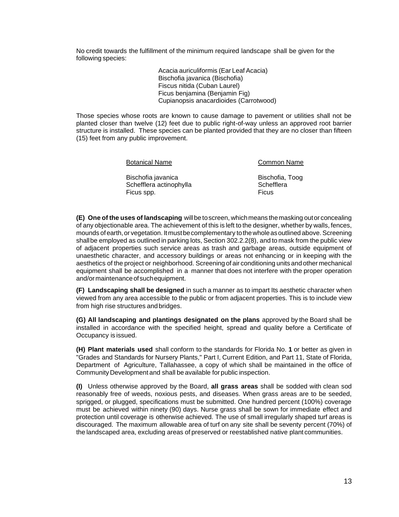No credit towards the fulfillment of the minimum required landscape shall be given for the following species:

> Acacia auriculiformis (Ear Leaf Acacia) Bischofia javanica (Bischofia) Fiscus nitida (Cuban Laurel) Ficus benjamina (Benjamin Fig) Cupianopsis anacardioides (Carrotwood)

Those species whose roots are known to cause damage to pavement or utilities shall not be planted closer than twelve (12) feet due to public right-of-way unless an approved root barrier structure is installed. These species can be planted provided that they are no closer than fifteen (15) feet from any public improvement.

Botanical Name **Common Name** 

Bischofia javanica **Bischofia, Toog** Schefflera actinophylla Schefflera Ficus spp. **Ficus** Spp. **Ficus** 

**(E) One of the uses of landscaping** will be to screen, which means the masking out or concealing of any objectionable area. The achievement of this is left to the designer, whether by walls, fences, mounds of earth, or vegetation. It must be complementary to the whole as outlined above. Screening shall be employed as outlined in parking lots, Section 302.2.2(8), and to mask from the public view of adjacent properties such service areas as trash and garbage areas, outside equipment of unaesthetic character, and accessory buildings or areas not enhancing or in keeping with the aesthetics of the project or neighborhood. Screening of air conditioning units and other mechanical equipment shall be accomplished in a manner that does not interfere with the proper operation and/or maintenance of such equipment.

**(F) Landscaping shall be designed** in such a manner as to impart Its aesthetic character when viewed from any area accessible to the public or from adjacent properties. This is to include view from high rise structures and bridges.

**(G) All landscaping and plantings designated on the plans** approved by the Board shall be installed in accordance with the specified height, spread and quality before a Certificate of Occupancy is issued.

**(H) Plant materials used** shall conform to the standards for Florida No. **1** or better as given in "Grades and Standards for Nursery Plants," Part I, Current Edition, and Part 11, State of Florida, Department of Agriculture, Tallahassee, a copy of which shall be maintained in the office of Community Development and shall be available for public inspection.

**(I)** Unless otherwise approved by the Board, **all grass areas** shall be sodded with clean sod reasonably free of weeds, noxious pests, and diseases. When grass areas are to be seeded, sprigged, or plugged, specifications must be submitted. One hundred percent (100%) coverage must be achieved within ninety (90) days. Nurse grass shall be sown for immediate effect and protection until coverage is otherwise achieved. The use of small irregularly shaped turf areas is discouraged. The maximum allowable area of turf on any site shall be seventy percent (70%) of the landscaped area, excluding areas of preserved or reestablished native plant communities.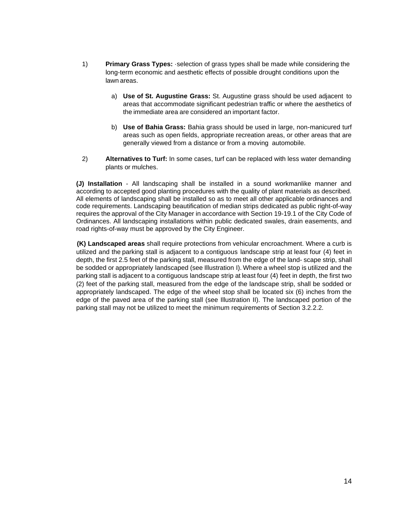- 1) **Primary Grass Types:** ·selection of grass types shall be made while considering the long-term economic and aesthetic effects of possible drought conditions upon the lawn areas.
	- a) **Use of St. Augustine Grass:** St. Augustine grass should be used adjacent to areas that accommodate significant pedestrian traffic or where the aesthetics of the immediate area are considered an important factor.
	- b) **Use of Bahia Grass:** Bahia grass should be used in large, non-manicured turf areas such as open fields, appropriate recreation areas, or other areas that are generally viewed from a distance or from a moving automobile.
- 2) **Alternatives to Turf:** In some cases, turf can be replaced with less water demanding plants or mulches.

**(J) Installation** - All landscaping shall be installed in a sound workmanlike manner and according to accepted good planting procedures with the quality of plant materials as described. All elements of landscaping shall be installed so as to meet all other applicable ordinances and code requirements. Landscaping beautification of median strips dedicated as public right-of-way requires the approval of the City Manager in accordance with Section 19-19.1 of the City Code of Ordinances. All landscaping installations within public dedicated swales, drain easements, and road rights-of-way must be approved by the City Engineer.

**(K) Landscaped areas** shall require protections from vehicular encroachment. Where a curb is utilized and the parking stall is adjacent to a contiguous landscape strip at least four (4) feet in depth, the first 2.5 feet of the parking stall, measured from the edge of the land- scape strip, shall be sodded or appropriately landscaped (see Illustration I). Where a wheel stop is utilized and the parking stall is adjacent to a contiguous landscape strip at least four (4) feet in depth, the first two (2) feet of the parking stall, measured from the edge of the landscape strip, shall be sodded or appropriately landscaped. The edge of the wheel stop shall be located six (6) inches from the edge of the paved area of the parking stall (see Illustration II). The landscaped portion of the parking stall may not be utilized to meet the minimum requirements of Section 3.2.2.2.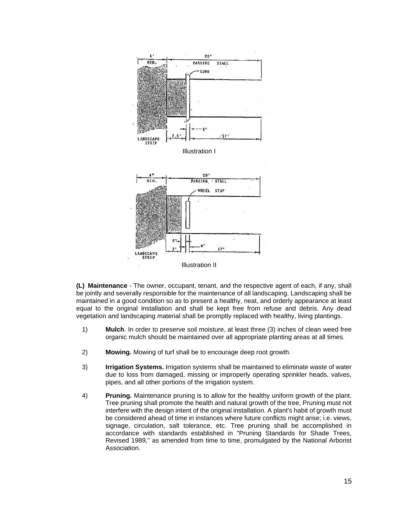

**(L) Maintenance** - The owner, occupant, tenant, and the respective agent of each, if any, shall be jointly and severally responsible for the maintenance of all landscaping. Landscaping shall be maintained in a good condition so as to present a healthy, neat, and orderly appearance at least equal to the original installation and shall be kept free from refuse and debris. Any dead vegetation and landscaping material shall be promptly replaced with healthy, living plantings.

- 1) **Mulch**. In order to preserve soil moisture, at least three (3) inches of clean weed free organic mulch should be maintained over all appropriate planting areas at all times.
- 2) **Mowing.** Mowing of turf shall be to encourage deep root growth.
- 3) **Irrigation Systems.** Irrigation systems shall be maintained to eliminate waste of water due to loss from damaged, missing or improperly operating sprinkler heads, valves, pipes, and all other portions of the irrigation system.
- 4) **Pruning.** Maintenance pruning is to allow for the healthy uniform growth of the plant. Tree pruning shall promote the health and natural growth of the tree, Pruning must not interfere with the design intent of the original installation. A plant's habit of growth must be considered ahead of time in instances where future conflicts might arise; i.e. views, signage, circulation, salt tolerance, etc. Tree pruning shall be accomplished in accordance with standards established in "Pruning Standards for Shade Trees, Revised 1989," as amended from time to time, promulgated by the National Arborist Association.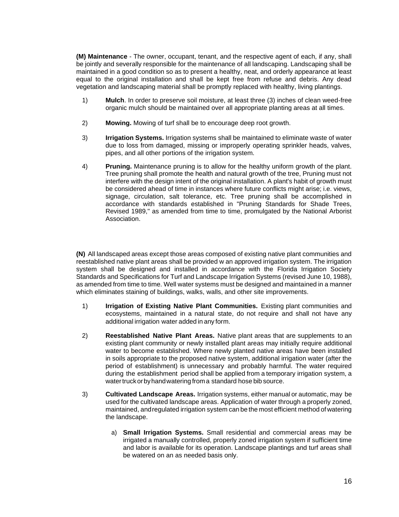**(M) Maintenance** - The owner, occupant, tenant, and the respective agent of each, if any, shall be jointly and severally responsible for the maintenance of all landscaping. Landscaping shall be maintained in a good condition so as to present a healthy, neat, and orderly appearance at least equal to the original installation and shall be kept free from refuse and debris. Any dead vegetation and landscaping material shall be promptly replaced with healthy, living plantings.

- 1) **Mulch**. In order to preserve soil moisture, at least three (3) inches of clean weed-free organic mulch should be maintained over all appropriate planting areas at all times.
- 2) **Mowing.** Mowing of turf shall be to encourage deep root growth.
- 3) **Irrigation Systems.** Irrigation systems shall be maintained to eliminate waste of water due to loss from damaged, missing or improperly operating sprinkler heads, valves, pipes, and all other portions of the irrigation system.
- 4) **Pruning.** Maintenance pruning is to allow for the healthy uniform growth of the plant. Tree pruning shall promote the health and natural growth of the tree, Pruning must not interfere with the design intent of the original installation. A plant's habit of growth must be considered ahead of time in instances where future conflicts might arise; i.e. views, signage, circulation, salt tolerance, etc. Tree pruning shall be accomplished in accordance with standards established in "Pruning Standards for Shade Trees, Revised 1989," as amended from time to time, promulgated by the National Arborist Association.

**(N)** All landscaped areas except those areas composed of existing native plant communities and reestablished native plant areas shall be provided w an approved irrigation system. The irrigation system shall be designed and installed in accordance with the Florida Irrigation Society Standards and Specifications for Turf and Landscape Irrigation Systems (revised June 10, 1988), as amended from time to time. Well water systems must be designed and maintained in a manner which eliminates staining of buildings, walks, walls, and other site improvements.

- 1) **Irrigation of Existing Native Plant Communities.** Existing plant communities and ecosystems, maintained in a natural state, do not require and shall not have any additional irrigation water added in any form.
- 2) **Reestablished Native Plant Areas.** Native plant areas that are supplements to an existing plant community or newly installed plant areas may initially require additional water to become established. Where newly planted native areas have been installed in soils appropriate to the proposed native system, additional irrigation water (after the period of establishment) is unnecessary and probably harmful. The water required during the establishment period shall be applied from a temporary irrigation system, a water truck orby hand watering from a standard hose bib source.
- 3) **Cultivated Landscape Areas.** Irrigation systems, either manual or automatic, may be used for the cultivated landscape areas. Application of water through a properly zoned, maintained, and regulated irrigation system can be the most efficient method of watering the landscape.
	- a) **Small Irrigation Systems.** Small residential and commercial areas may be irrigated a manually controlled, properly zoned irrigation system if sufficient time and labor is available for its operation. Landscape plantings and turf areas shall be watered on an as needed basis only.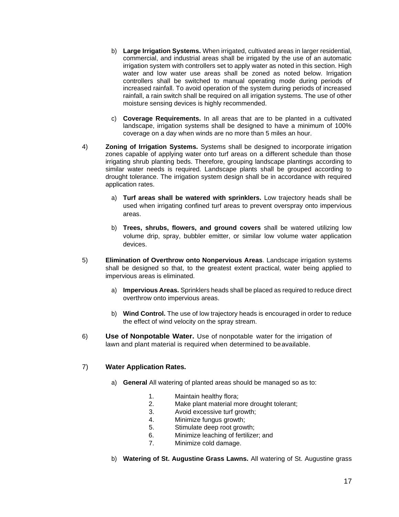- b) **Large Irrigation Systems.** When irrigated, cultivated areas in larger residential, commercial, and industrial areas shall be irrigated by the use of an automatic irrigation system with controllers set to apply water as noted in this section. High water and low water use areas shall be zoned as noted below. Irrigation controllers shall be switched to manual operating mode during periods of increased rainfall. To avoid operation of the system during periods of increased rainfall, a rain switch shall be required on all irrigation systems. The use of other moisture sensing devices is highly recommended.
- c) **Coverage Requirements.** In all areas that are to be planted in a cultivated landscape, irrigation systems shall be designed to have a minimum of 100% coverage on a day when winds are no more than 5 miles an hour.
- 4) **Zoning of Irrigation Systems.** Systems shall be designed to incorporate irrigation zones capable of applying water onto turf areas on a different schedule than those irrigating shrub planting beds. Therefore, grouping landscape plantings according to similar water needs is required. Landscape plants shall be grouped according to drought tolerance. The irrigation system design shall be in accordance with required application rates.
	- a) **Turf areas shall be watered with sprinklers.** Low trajectory heads shall be used when irrigating confined turf areas to prevent overspray onto impervious areas.
	- b) **Trees, shrubs, flowers, and ground covers** shall be watered utilizing low volume drip, spray, bubbler emitter, or similar low volume water application devices.
- 5) **Elimination of Overthrow onto Nonpervious Areas**. Landscape irrigation systems shall be designed so that, to the greatest extent practical, water being applied to impervious areas is eliminated.
	- a) **Impervious Areas.** Sprinklers heads shall be placed as required to reduce direct overthrow onto impervious areas.
	- b) **Wind Control.** The use of low trajectory heads is encouraged in order to reduce the effect of wind velocity on the spray stream.
- 6) **Use of Nonpotable Water.** Use of nonpotable water for the irrigation of lawn and plant material is required when determined to be available.

## 7) **Water Application Rates.**

- a) **General** All watering of planted areas should be managed so as to:
	- 1. Maintain healthy flora;
	- 2. Make plant material more drought tolerant;
	- 3. Avoid excessive turf growth;
	- 4. Minimize fungus growth;
	- 5. Stimulate deep root growth;
	- 6. Minimize leaching of fertilizer; and
	- 7. Minimize cold damage.
- b) **Watering of St. Augustine Grass Lawns.** All watering of St. Augustine grass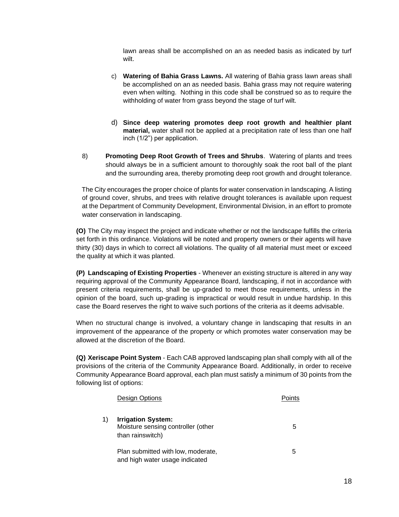lawn areas shall be accomplished on an as needed basis as indicated by turf wilt.

- c) **Watering of Bahia Grass Lawns.** All watering of Bahia grass lawn areas shall be accomplished on an as needed basis. Bahia grass may not require watering even when wilting. Nothing in this code shall be construed so as to require the withholding of water from grass beyond the stage of turf wilt.
- d) **Since deep watering promotes deep root growth and healthier plant material,** water shall not be applied at a precipitation rate of less than one half inch (1/2") per application.
- 8) **Promoting Deep Root Growth of Trees and Shrubs**. Watering of plants and trees should always be in a sufficient amount to thoroughly soak the root ball of the plant and the surrounding area, thereby promoting deep root growth and drought tolerance.

The City encourages the proper choice of plants for water conservation in landscaping. A listing of ground cover, shrubs, and trees with relative drought tolerances is available upon request at the Department of Community Development, Environmental Division, in an effort to promote water conservation in landscaping.

**(O)** The City may inspect the project and indicate whether or not the landscape fulfills the criteria set forth in this ordinance. Violations will be noted and property owners or their agents will have thirty (30) days in which to correct all violations. The quality of all material must meet or exceed the quality at which it was planted.

**(P) Landscaping of Existing Properties** - Whenever an existing structure is altered in any way requiring approval of the Community Appearance Board, landscaping, if not in accordance with present criteria requirements, shall be up-graded to meet those requirements, unless in the opinion of the board, such up-grading is impractical or would result in undue hardship. In this case the Board reserves the right to waive such portions of the criteria as it deems advisable.

When no structural change is involved, a voluntary change in landscaping that results in an improvement of the appearance of the property or which promotes water conservation may be allowed at the discretion of the Board.

**(Q) Xeriscape Point System** - Each CAB approved landscaping plan shall comply with all of the provisions of the criteria of the Community Appearance Board. Additionally, in order to receive Community Appearance Board approval, each plan must satisfy a minimum of 30 points from the following list of options:

|    | Design Options                                                                      | Points |
|----|-------------------------------------------------------------------------------------|--------|
| 1) | <b>Irrigation System:</b><br>Moisture sensing controller (other<br>than rainswitch) | 5      |
|    | Plan submitted with low, moderate,<br>and high water usage indicated                | 5      |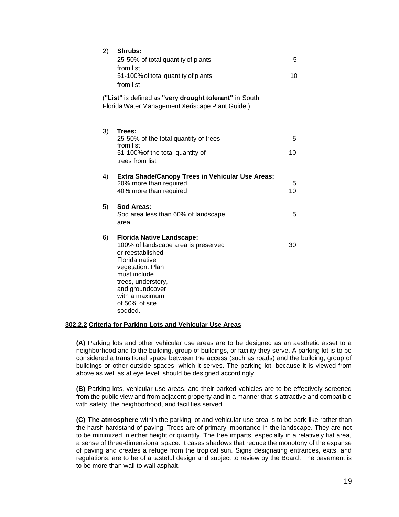| 2)                                                                                                         | Shrubs:<br>25-50% of total quantity of plants<br>from list<br>51-100% of total quantity of plants<br>from list                                                                                                                            | 5<br>10 |  |  |
|------------------------------------------------------------------------------------------------------------|-------------------------------------------------------------------------------------------------------------------------------------------------------------------------------------------------------------------------------------------|---------|--|--|
| ("List" is defined as "very drought tolerant" in South<br>Florida Water Management Xeriscape Plant Guide.) |                                                                                                                                                                                                                                           |         |  |  |
| 3)                                                                                                         | Trees:<br>25-50% of the total quantity of trees<br>from list<br>51-100% of the total quantity of<br>trees from list                                                                                                                       | 5<br>10 |  |  |
| 4)                                                                                                         | <b>Extra Shade/Canopy Trees in Vehicular Use Areas:</b><br>20% more than required<br>40% more than required                                                                                                                               | 5<br>10 |  |  |
| 5)                                                                                                         | Sod Areas:<br>Sod area less than 60% of landscape<br>area                                                                                                                                                                                 | 5       |  |  |
| 6)                                                                                                         | <b>Florida Native Landscape:</b><br>100% of landscape area is preserved<br>or reestablished<br>Florida native<br>vegetation. Plan<br>must include<br>trees, understory,<br>and groundcover<br>with a maximum<br>of 50% of site<br>sodded. | 30      |  |  |

### **302.2.2 Criteria for Parking Lots and Vehicular Use Areas**

**(A)** Parking lots and other vehicular use areas are to be designed as an aesthetic asset to a neighborhood and to the building, group of buildings, or facility they serve, A parking lot is to be considered a transitional space between the access (such as roads) and the building, group of buildings or other outside spaces, which it serves. The parking lot, because it is viewed from above as well as at eye level, should be designed accordingly.

**(B)** Parking lots, vehicular use areas, and their parked vehicles are to be effectively screened from the public view and from adjacent property and in a manner that is attractive and compatible with safety, the neighborhood, and facilities served.

**(C) The atmosphere** within the parking lot and vehicular use area is to be park-like rather than the harsh hardstand of paving. Trees are of primary importance in the landscape. They are not to be minimized in either height or quantity. The tree imparts, especially in a relatively fiat area, a sense of three-dimensional space. It cases shadows that reduce the monotony of the expanse of paving and creates a refuge from the tropical sun. Signs designating entrances, exits, and regulations, are to be of a tasteful design and subject to review by the Board. The pavement is to be more than wall to wall asphalt.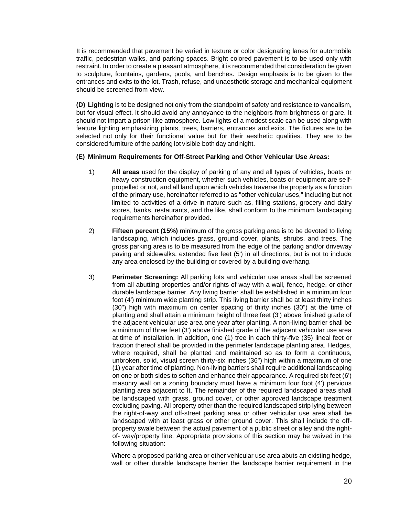It is recommended that pavement be varied in texture or color designating lanes for automobile traffic, pedestrian walks, and parking spaces. Bright colored pavement is to be used only with restraint. In order to create a pleasant atmosphere, it is recommended that consideration be given to sculpture, fountains, gardens, pools, and benches. Design emphasis is to be given to the entrances and exits to the lot. Trash, refuse, and unaesthetic storage and mechanical equipment should be screened from view.

**(D) Lighting** is to be designed not only from the standpoint of safety and resistance to vandalism, but for visual effect. It should avoid any annoyance to the neighbors from brightness or glare. It should not impart a prison-like atmosphere. Low lights of a modest scale can be used along with feature lighting emphasizing plants, trees, barriers, entrances and exits. The fixtures are to be selected not only for their functional value but for their aesthetic qualities. They are to be considered furniture of the parking lot visible both day and night.

## **(E) Minimum Requirements for Off-Street Parking and Other Vehicular Use Areas:**

- 1) **All areas** used for the display of parking of any and all types of vehicles, boats or heavy construction equipment, whether such vehicles, boats or equipment are selfpropelled or not, and all land upon which vehicles traverse the property as a function of the primary use, hereinafter referred to as "other vehicular uses," including but not limited to activities of a drive-in nature such as, filling stations, grocery and dairy stores, banks, restaurants, and the like, shall conform to the minimum landscaping requirements hereinafter provided.
- 2) **Fifteen percent (15%)** minimum of the gross parking area is to be devoted to living landscaping, which includes grass, ground cover, plants, shrubs, and trees. The gross parking area is to be measured from the edge of the parking and/or driveway paving and sidewalks, extended five feet (5') in all directions, but is not to include any area enclosed by the building or covered by a building overhang.
- 3) **Perimeter Screening:** All parking lots and vehicular use areas shall be screened from all abutting properties and/or rights of way with a wall, fence, hedge, or other durable landscape barrier. Any living barrier shall be established in a minimum four foot (4') minimum wide planting strip. This living barrier shall be at least thirty inches (30") high with maximum on center spacing of thirty inches (30") at the time of planting and shall attain a minimum height of three feet (3') above finished grade of the adjacent vehicular use area one year after planting. A non-living barrier shall be a minimum of three feet (3') above finished grade of the adjacent vehicular use area at time of installation. In addition, one (1) tree in each thirty-five (35) lineal feet or fraction thereof shall be provided in the perimeter landscape planting area. Hedges, where required, shall be planted and maintained so as to form a continuous, unbroken, solid, visual screen thirty-six inches (36") high within a maximum of one (1) year after time of planting. Non-living barriers shall require additional landscaping on one or both sides to soften and enhance their appearance. A required six feet (6') masonry wall on a zoning boundary must have a minimum four foot (4') pervious planting area adjacent to It. The remainder of the required landscaped areas shall be landscaped with grass, ground cover, or other approved landscape treatment excluding paving. All property other than the required landscaped strip lying between the right-of-way and off-street parking area or other vehicular use area shall be landscaped with at least grass or other ground cover. This shall include the offproperty swale between the actual pavement of a public street or alley and the rightof- way/property line. Appropriate provisions of this section may be waived in the following situation:

Where a proposed parking area or other vehicular use area abuts an existing hedge, wall or other durable landscape barrier the landscape barrier requirement in the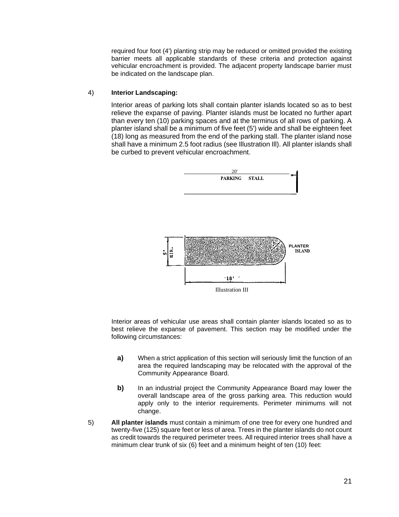required four foot (4') planting strip may be reduced or omitted provided the existing barrier meets all applicable standards of these criteria and protection against vehicular encroachment is provided. The adjacent property landscape barrier must be indicated on the landscape plan.

### 4) **Interior Landscaping:**

Interior areas of parking lots shall contain planter islands located so as to best relieve the expanse of paving. Planter islands must be located no further apart than every ten (10) parking spaces and at the terminus of all rows of parking. A planter island shall be a minimum of five feet (5') wide and shall be eighteen feet (18) long as measured from the end of the parking stall. The planter island nose shall have a minimum 2.5 foot radius (see Illustration Ill). All planter islands shall be curbed to prevent vehicular encroachment.



Interior areas of vehicular use areas shall contain planter islands located so as to best relieve the expanse of pavement. This section may be modified under the following circumstances:

- **a)** When a strict application of this section will seriously limit the function of an area the required landscaping may be relocated with the approval of the Community Appearance Board.
- **b)** In an industrial project the Community Appearance Board may lower the overall landscape area of the gross parking area. This reduction would apply only to the interior requirements. Perimeter minimums will not change.
- 5) **All planter islands** must contain a minimum of one tree for every one hundred and twenty-five (125) square feet or less of area. Trees in the planter islands do not count as credit towards the required perimeter trees. All required interior trees shall have a minimum clear trunk of six (6) feet and a minimum height of ten (10) feet: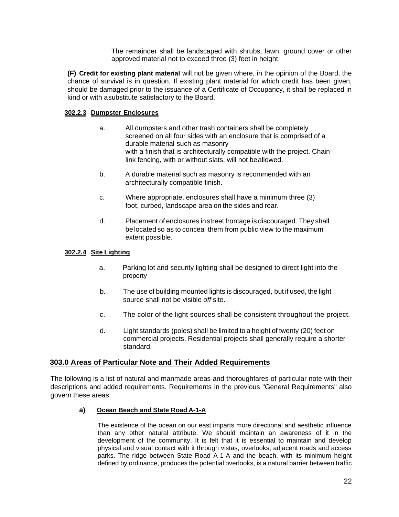The remainder shall be landscaped with shrubs, lawn, ground cover or other approved material not to exceed three (3) feet in height.

**(F) Credit for existing plant material** will not be given where, in the opinion of the Board, the chance of survival is in question. If existing plant material for which credit has been given, should be damaged prior to the issuance of a Certificate of Occupancy, it shall be replaced in kind or with a substitute satisfactory to the Board.

## **302.2.3 Dumpster Enclosures**

- a. All dumpsters and other trash containers shall be completely screened on all four sides with an enclosure that is comprised of a durable material such as masonry with a finish that is architecturally compatible with the project. Chain link fencing, with or without slats, will not be allowed.
- b. A durable material such as masonry is recommended with an architecturally compatible finish.
- c. Where appropriate, enclosures shall have a minimum three (3) foot, curbed, landscape area on the sides and rear.
- d. Placement of enclosures in street frontage is discouraged. They shall be located so as to conceal them from public view to the maximum extent possible.

## **302.2.4 Site Lighting**

- a. Parking lot and security lighting shall be designed to direct light into the property
- b. The use of building mounted lights is discouraged, but if used, the light source shall not be visible *off* site.
- c. The color of the light sources shall be consistent throughout the project.
- d. Light standards (poles) shall be limited to a height of twenty (20) feet on commercial projects. Residential projects shall generally require a shorter standard.

## **303.0 Areas of Particular Note and Their Added Requirements**

The following is a list of natural and manmade areas and thoroughfares of particular note with their descriptions and added requirements. Requirements in the previous "General Requirements" also govern these areas.

## **a) Ocean Beach and State Road A-1-A**

The existence of the ocean on our east imparts more directional and aesthetic influence than any other natural attribute. We should maintain an awareness of it in the development of the community. It is felt that it is essential to maintain and develop physical and visual contact with it through vistas, overlooks, adjacent roads and access parks. The ridge between State Road A-1-A and the beach, with its minimum height defined by ordinance, produces the potential overlooks, is a natural barrier between traffic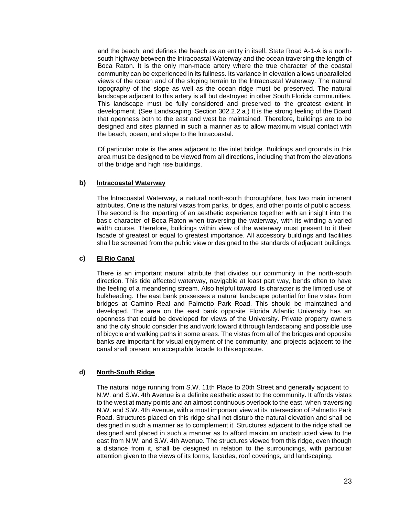and the beach, and defines the beach as an entity in itself. State Road A-1-A is a northsouth highway between the lntracoastal Waterway and the ocean traversing the length of Boca Raton. It is the only man-made artery where the true character of the coastal community can be experienced in its fullness. Its variance in elevation allows unparalleled views of the ocean and of the sloping terrain to the lntracoastal Waterway. The natural topography of the slope as well as the ocean ridge must be preserved. The natural landscape adjacent to this artery is all but destroyed in other South Florida communities. This landscape must be fully considered and preserved to the greatest extent in development. (See Landscaping, Section 302.2.2.a.) It is the strong feeling of the Board that openness both to the east and west be maintained. Therefore, buildings are to be designed and sites planned in such a manner as to allow maximum visual contact with the beach, ocean, and slope to the lntracoastal.

Of particular note is the area adjacent to the inlet bridge. Buildings and grounds in this area must be designed to be viewed from all directions, including that from the elevations of the bridge and high rise buildings.

## **b) lntracoastal Waterway**

The lntracoastal Waterway, a natural north-south thoroughfare, has two main inherent attributes. One is the natural vistas from parks, bridges, and other points of public access. The second is the imparting of an aesthetic experience together with an insight into the basic character of Boca Raton when traversing the waterway, with its winding a varied width course. Therefore, buildings within view of the waterway must present to it their facade of greatest or equal to greatest importance. All accessory buildings and facilities shall be screened from the public view or designed to the standards of adjacent buildings.

## **c) El Rio Canal**

There is an important natural attribute that divides our community in the north-south direction. This tide affected waterway, navigable at least part way, bends often to have the feeling of a meandering stream. Also helpful toward its character is the limited use of bulkheading. The east bank possesses a natural landscape potential for fine vistas from bridges at Camino Real and Palmetto Park Road. This should be maintained and developed. The area on the east bank opposite Florida Atlantic University has an openness that could be developed for views of the University. Private property owners and the city should consider this and work toward it through landscaping and possible use of bicycle and walking paths in some areas. The vistas from all of the bridges and opposite banks are important for visual enjoyment of the community, and projects adjacent to the canal shall present an acceptable facade to this exposure.

## **d) North-South Ridge**

The natural ridge running from S.W. 11th Place to 20th Street and generally adjacent to N.W. and S.W. 4th Avenue is a definite aesthetic asset to the community. It affords vistas to the west at many points and an almost continuous overlook to the east, when traversing N.W. and S.W. 4th Avenue, with a most important view at its intersection of Palmetto Park Road. Structures placed on this ridge shall not disturb the natural elevation and shall be designed in such a manner as to complement it. Structures adjacent to the ridge shall be designed and placed in such a manner as to afford maximum unobstructed view to the east from N.W. and S.W. 4th Avenue. The structures viewed from this ridge, even though a distance from it, shall be designed in relation to the surroundings, with particular attention given to the views of its forms, facades, roof coverings, and landscaping.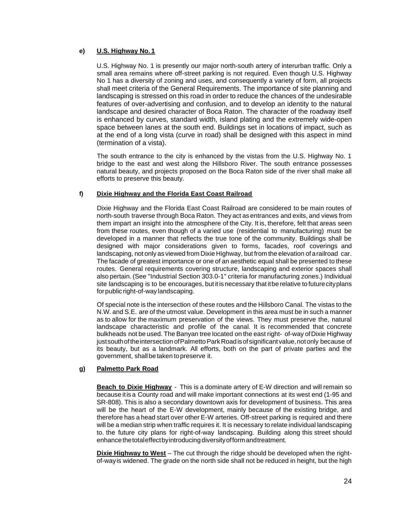## **e) U.S. Highway No. 1**

U.S. Highway No. 1 is presently our major north-south artery of interurban traffic. Only a small area remains where off-street parking is not required. Even though U.S. Highway No 1 has a diversity of zoning and uses, and consequently a variety of form, all projects shall meet criteria of the General Requirements. The importance of site planning and landscaping is stressed on this road in order to reduce the chances of the undesirable features of over-advertising and confusion, and to develop an identity to the natural landscape and desired character of Boca Raton. The character of the roadway itself is enhanced by curves, standard width, island plating and the extremely wide-open space between lanes at the south end. Buildings set in locations of impact, such as at the end of a long vista (curve in road) shall be designed with this aspect in mind (termination of a vista).

The south entrance to the city is enhanced by the vistas from the U.S. Highway No. 1 bridge to the east and west along the Hillsboro River. The south entrance possesses natural beauty, and projects proposed on the Boca Raton side of the river shall make all efforts to preserve this beauty.

## **f) Dixie Highway and the Florida East Coast Railroad**

Dixie Highway and the Florida East Coast Railroad are considered to be main routes of north-south traverse through Boca Raton. They act as entrances and exits, and views from them impart an insight into the atmosphere of the City. It is, therefore, felt that areas seen from these routes, even though of a varied use (residential to manufacturing) must be developed in a manner that reflects the true tone of the community. Buildings shall be designed with major considerations given to forms, facades, roof coverings and landscaping, not only as viewed from Dixie Highway, but from the elevation of a railroad car. The facade of greatest importance or one of an aesthetic equal shall be presented to these routes. General requirements covering structure, landscaping and exterior spaces shall also pertain. (See "Industrial Section 303.0-1" criteria for manufacturing zones.) Individual site landscaping is to be encourages, but it is necessary that itbe relative to future city plans for public right-of-way landscaping.

Of special note is the intersection of these routes and the Hillsboro Canal. The vistas to the N.W. and S.E. are of the utmost value. Development in this area must be in such a manner as to allow for the maximum preservation of the views. They must preserve the, natural landscape characteristic and profile of the canal. It is recommended that concrete bulkheads not be used. The Banyan tree located on the east right- of-way of Dixie Highway just south of the intersection of Palmetto Park Road isof significant value, not only because of its beauty, but as a landmark. All efforts, both on the part of private parties and the government, shall be taken to preserve it.

## **g) Palmetto Park Road**

**Beach to Dixie Highway** - This is a dominate artery of E-W direction and will remain so because itis a County road and will make important connections at its west end (1-95 and SR-808). This is also a secondary downtown axis for development of business. This area will be the heart of the E-W development, mainly because of the existing bridge, and therefore has a head start over other E-W arteries. Off-street parking is required and there will be a median strip when traffic requires it. It is necessary to relate individual landscaping to, the future city plans for right-of-way landscaping. Building along this street should enhance the total effect by introducing diversity of form and treatment.

**Dixie Highway to West** – The cut through the ridge should be developed when the rightof-way is widened. The grade on the north side shall not be reduced in height, but the high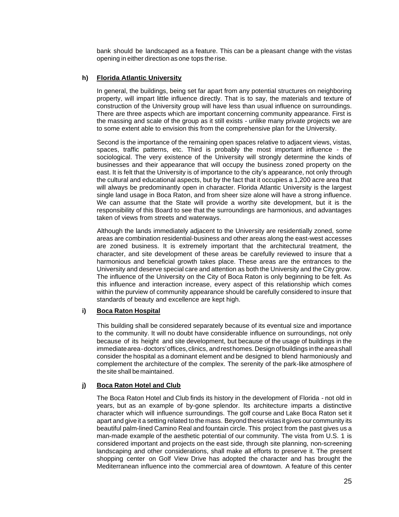bank should be landscaped as a feature. This can be a pleasant change with the vistas opening in either direction as one tops the rise.

## **h) Florida Atlantic University**

In general, the buildings, being set far apart from any potential structures on neighboring property, will impart little influence directly. That is to say, the materials and texture of construction of the University group will have less than usual influence on surroundings. There are three aspects which are important concerning community appearance. First is the massing and scale of the group as it still exists - unlike many private projects we are to some extent able to envision this from the comprehensive plan for the University.

Second is the importance of the remaining open spaces relative to adjacent views, vistas, spaces, traffic patterns, etc. Third is probably the most important influence - the sociological. The very existence of the University will strongly determine the kinds of businesses and their appearance that will occupy the business zoned property on the east. It is felt that the University is of importance to the city's appearance, not only through the cultural and educational aspects, but by the fact that it occupies a 1,200 acre area that will always be predominantly open in character. Florida Atlantic University is the largest single land usage in Boca Raton, and from sheer size alone will have a strong influence. We can assume that the State will provide a worthy site development, but it is the responsibility of this Board to see that the surroundings are harmonious, and advantages taken of views from streets and waterways.

Although the lands immediately adjacent to the University are residentially zoned, some areas are combination residential-business and other areas along the east-west accesses are zoned business. It is extremely important that the architectural treatment, the character, and site development of these areas be carefully reviewed to insure that a harmonious and beneficial growth takes place. These areas are the entrances to the University and deserve special care and attention as both the University and the City grow. The influence of the University on the City of Boca Raton is only beginning to be felt. As this influence and interaction increase, every aspect of this relationship which comes within the purview of community appearance should be carefully considered to insure that standards of beauty and excellence are kept high.

### **i) Boca Raton Hospital**

This building shall be considered separately because of its eventual size and importance to the community. It will no doubt have considerable influence on surroundings, not only because of its height and site development, but because of the usage of buildings in the immediate area - doctors' offices, clinics, and rest homes. Design of buildings in the area shall consider the hospital as a dominant element and be designed to blend harmoniously and complement the architecture of the complex. The serenity of the park-like atmosphere of the site shall be maintained.

## **j) Boca Raton Hotel and Club**

The Boca Raton Hotel and Club finds its history in the development of Florida - not old in years, but as an example of by-gone splendor. Its architecture imparts a distinctive character which will influence surroundings. The golf course and Lake Boca Raton set it apart and give it a setting related to the mass. Beyond these vistas it gives our community its beautiful palm-lined Camino Real and fountain circle. This project from the past gives us a man-made example of the aesthetic potential of our community. The vista from U.S. 1 is considered important and projects on the east side, through site planning, non-screening landscaping and other considerations, shall make all efforts to preserve it. The present shopping center on Golf View Drive has adopted the character and has brought the Mediterranean influence into the commercial area of downtown. A feature of this center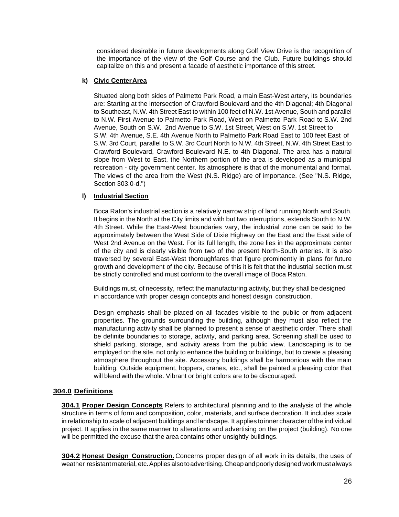considered desirable in future developments along Golf View Drive is the recognition of the importance of the view of the Golf Course and the Club. Future buildings should capitalize on this and present a facade of aesthetic importance of this street.

## **k) Civic Center Area**

Situated along both sides of Palmetto Park Road, a main East-West artery, its boundaries are: Starting at the intersection of Crawford Boulevard and the 4th Diagonal; 4th Diagonal to Southeast, N.W. 4th Street East to within 100 feet of N.W. 1st Avenue, South and parallel to N.W. First Avenue to Palmetto Park Road, West on Palmetto Park Road to S.W. 2nd Avenue, South on S.W. 2nd Avenue to S.W. 1st Street, West on S.W. 1st Street to S.W. 4th Avenue, S.E. 4th Avenue North to Palmetto Park Road East to 100 feet East of S.W. 3rd Court, parallel to S.W. 3rd Court North to N.W. 4th Street, N.W. 4th Street East to Crawford Boulevard, Crawford Boulevard N.E. to 4th Diagonal. The area has a natural slope from West to East, the Northern portion of the area is developed as a municipal recreation - city government center. Its atmosphere is that of the monumental and formal. The views of the area from the West (N.S. Ridge) are of importance. (See "N.S. Ridge, Section 303.0-d.")

## **l) Industrial Section**

Boca Raton's industrial section is a relatively narrow strip of land running North and South. It begins in the North at the City limits and with but two interruptions, extends South to N.W. 4th Street. While the East-West boundaries vary, the industrial zone can be said to be approximately between the West Side of Dixie Highway on the East and the East side of West 2nd Avenue on the West. For its full length, the zone lies in the approximate center of the city and is clearly visible from two of the present North-South arteries. It is also traversed by several East-West thoroughfares that figure prominently in plans for future growth and development of the city. Because of this it is felt that the industrial section must be strictly controlled and must conform to the overall image of Boca Raton.

Buildings must, of necessity, reflect the manufacturing activity, but they shall be designed in accordance with proper design concepts and honest design construction.

Design emphasis shall be placed on all facades visible to the public or from adjacent properties. The grounds surrounding the building, although they must also reflect the manufacturing activity shall be planned to present a sense of aesthetic order. There shall be definite boundaries to storage, activity, and parking area. Screening shall be used to shield parking, storage, and activity areas from the public view. Landscaping is to be employed on the site, not only to enhance the building or buildings, but to create a pleasing atmosphere throughout the site. Accessory buildings shall be harmonious with the main building. Outside equipment, hoppers, cranes, etc., shall be painted a pleasing color that will blend with the whole. Vibrant or bright colors are to be discouraged.

## <span id="page-27-0"></span>**304.0 Definitions**

**304.1 Proper Design Concepts** Refers to architectural planning and to the analysis of the whole structure in terms of form and composition, color, materials, and surface decoration. It includes scale in relationship to scale of adjacent buildings and landscape. It applies to inner character of the individual project. It applies in the same manner to alterations and advertising on the project (building). No one will be permitted the excuse that the area contains other unsightly buildings.

**304.2 Honest Design Construction.** Concerns proper design of all work in its details, the uses of weather resistant material, etc. Applies also to advertising. Cheap and poorly designed work must always